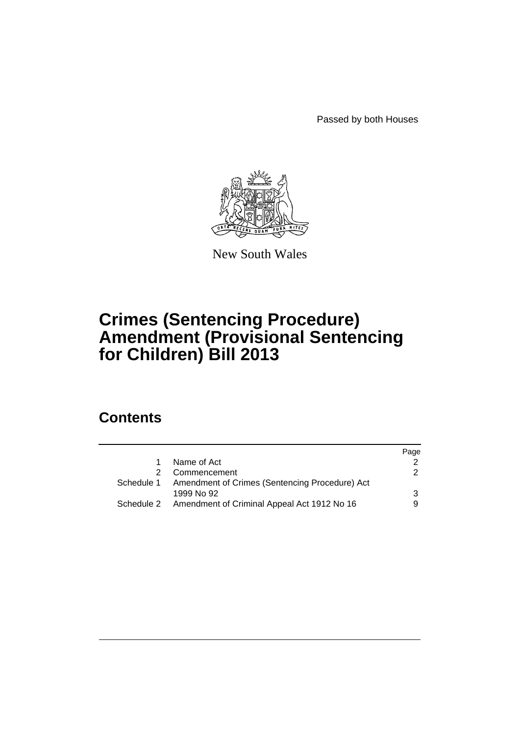Passed by both Houses



New South Wales

# **Crimes (Sentencing Procedure) Amendment (Provisional Sentencing for Children) Bill 2013**

## **Contents**

|              | Page                                                                                                                |
|--------------|---------------------------------------------------------------------------------------------------------------------|
| Name of Act  |                                                                                                                     |
| Commencement | 2                                                                                                                   |
|              |                                                                                                                     |
| 1999 No 92   | 3                                                                                                                   |
|              |                                                                                                                     |
|              | Schedule 1 Amendment of Crimes (Sentencing Procedure) Act<br>Schedule 2 Amendment of Criminal Appeal Act 1912 No 16 |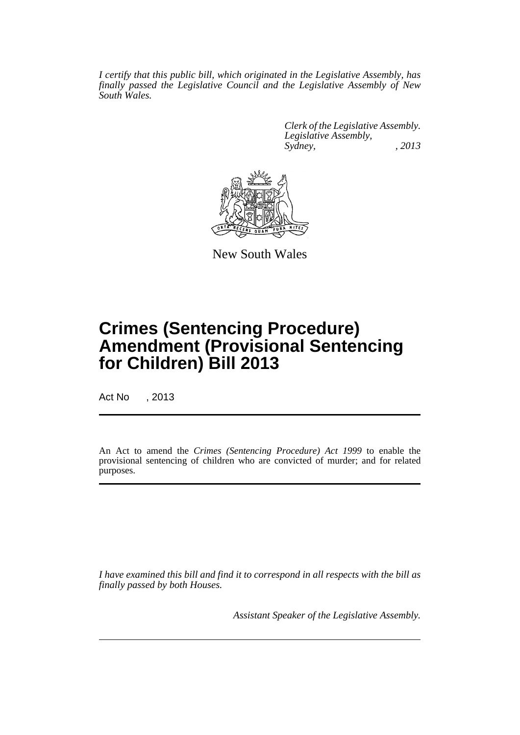*I certify that this public bill, which originated in the Legislative Assembly, has finally passed the Legislative Council and the Legislative Assembly of New South Wales.*

> *Clerk of the Legislative Assembly. Legislative Assembly, Sydney, , 2013*



New South Wales

# **Crimes (Sentencing Procedure) Amendment (Provisional Sentencing for Children) Bill 2013**

Act No , 2013

An Act to amend the *Crimes (Sentencing Procedure) Act 1999* to enable the provisional sentencing of children who are convicted of murder; and for related purposes.

*I have examined this bill and find it to correspond in all respects with the bill as finally passed by both Houses.*

*Assistant Speaker of the Legislative Assembly.*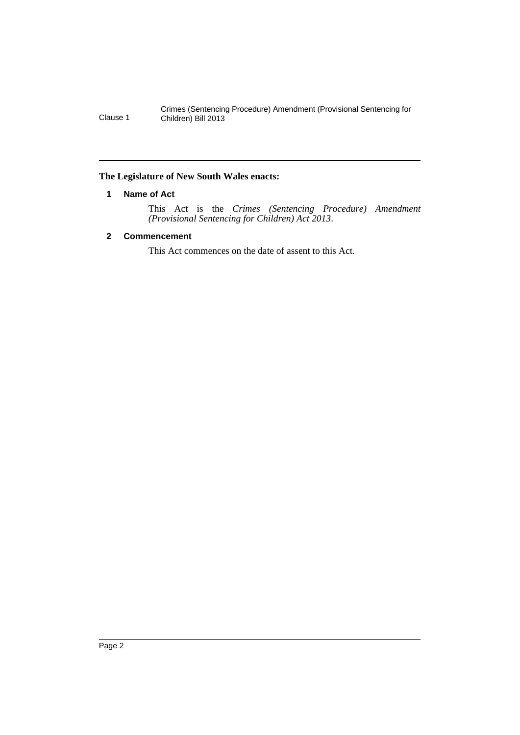#### <span id="page-3-0"></span>**The Legislature of New South Wales enacts:**

#### **1 Name of Act**

This Act is the *Crimes (Sentencing Procedure) Amendment (Provisional Sentencing for Children) Act 2013*.

## <span id="page-3-1"></span>**2 Commencement**

This Act commences on the date of assent to this Act.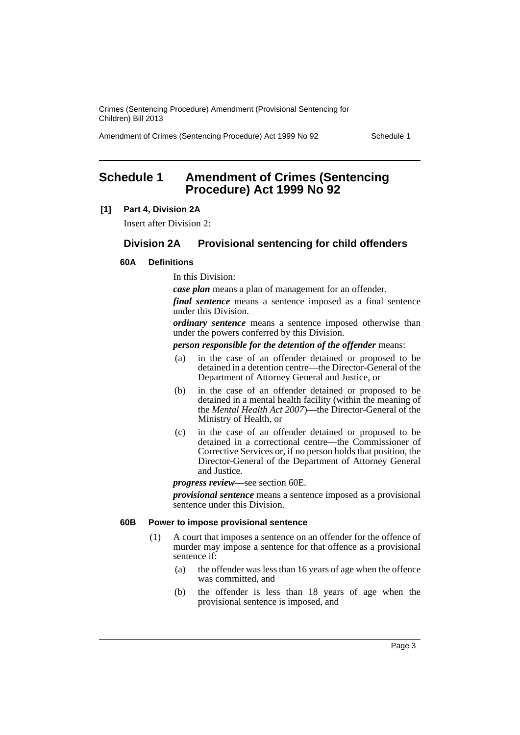Amendment of Crimes (Sentencing Procedure) Act 1999 No 92 Schedule 1

## <span id="page-4-0"></span>**Schedule 1 Amendment of Crimes (Sentencing Procedure) Act 1999 No 92**

#### **[1] Part 4, Division 2A**

Insert after Division 2:

## **Division 2A Provisional sentencing for child offenders**

## **60A Definitions**

In this Division:

*case plan* means a plan of management for an offender.

*final sentence* means a sentence imposed as a final sentence under this Division.

*ordinary sentence* means a sentence imposed otherwise than under the powers conferred by this Division.

*person responsible for the detention of the offender* means:

- (a) in the case of an offender detained or proposed to be detained in a detention centre—the Director-General of the Department of Attorney General and Justice, or
- (b) in the case of an offender detained or proposed to be detained in a mental health facility (within the meaning of the *Mental Health Act 2007*)—the Director-General of the Ministry of Health, or
- (c) in the case of an offender detained or proposed to be detained in a correctional centre—the Commissioner of Corrective Services or, if no person holds that position, the Director-General of the Department of Attorney General and Justice.

*progress review*—see section 60E.

*provisional sentence* means a sentence imposed as a provisional sentence under this Division.

#### **60B Power to impose provisional sentence**

- (1) A court that imposes a sentence on an offender for the offence of murder may impose a sentence for that offence as a provisional sentence if:
	- (a) the offender was less than 16 years of age when the offence was committed, and
	- (b) the offender is less than 18 years of age when the provisional sentence is imposed, and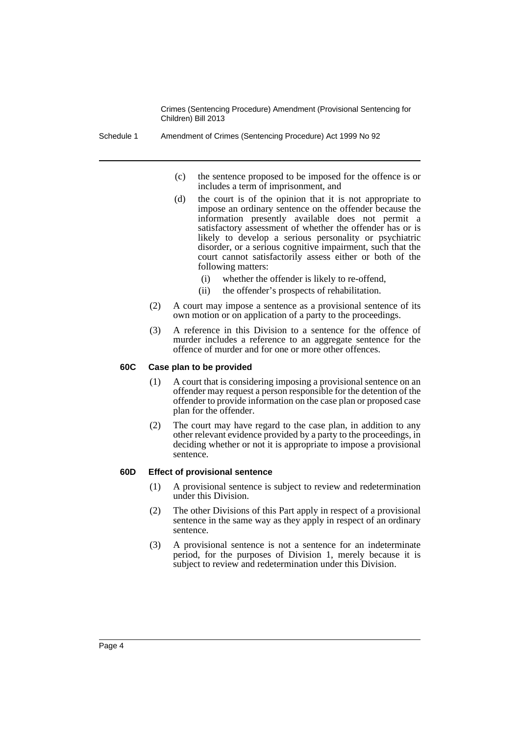Schedule 1 Amendment of Crimes (Sentencing Procedure) Act 1999 No 92

- (c) the sentence proposed to be imposed for the offence is or includes a term of imprisonment, and
- (d) the court is of the opinion that it is not appropriate to impose an ordinary sentence on the offender because the information presently available does not permit a satisfactory assessment of whether the offender has or is likely to develop a serious personality or psychiatric disorder, or a serious cognitive impairment, such that the court cannot satisfactorily assess either or both of the following matters:
	- (i) whether the offender is likely to re-offend,
	- (ii) the offender's prospects of rehabilitation.
- (2) A court may impose a sentence as a provisional sentence of its own motion or on application of a party to the proceedings.
- (3) A reference in this Division to a sentence for the offence of murder includes a reference to an aggregate sentence for the offence of murder and for one or more other offences.

#### **60C Case plan to be provided**

- (1) A court that is considering imposing a provisional sentence on an offender may request a person responsible for the detention of the offender to provide information on the case plan or proposed case plan for the offender.
- (2) The court may have regard to the case plan, in addition to any other relevant evidence provided by a party to the proceedings, in deciding whether or not it is appropriate to impose a provisional sentence.

#### **60D Effect of provisional sentence**

- (1) A provisional sentence is subject to review and redetermination under this Division.
- (2) The other Divisions of this Part apply in respect of a provisional sentence in the same way as they apply in respect of an ordinary sentence.
- (3) A provisional sentence is not a sentence for an indeterminate period, for the purposes of Division 1, merely because it is subject to review and redetermination under this Division.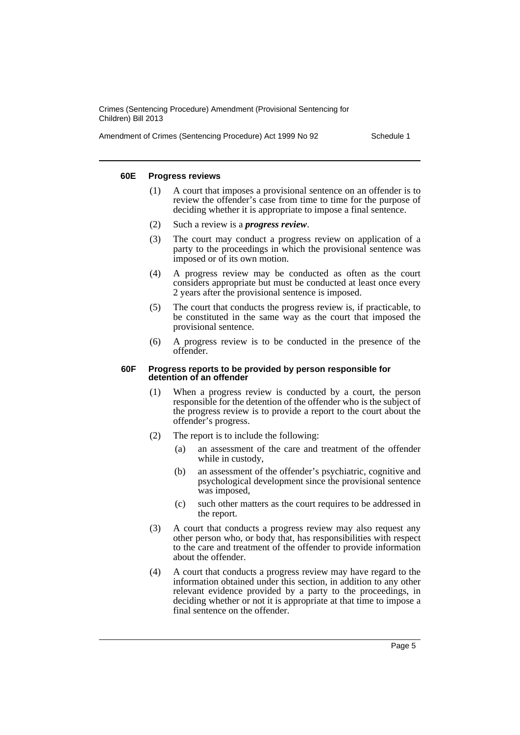Amendment of Crimes (Sentencing Procedure) Act 1999 No 92 Schedule 1

#### **60E Progress reviews**

- (1) A court that imposes a provisional sentence on an offender is to review the offender's case from time to time for the purpose of deciding whether it is appropriate to impose a final sentence.
- (2) Such a review is a *progress review*.
- (3) The court may conduct a progress review on application of a party to the proceedings in which the provisional sentence was imposed or of its own motion.
- (4) A progress review may be conducted as often as the court considers appropriate but must be conducted at least once every 2 years after the provisional sentence is imposed.
- (5) The court that conducts the progress review is, if practicable, to be constituted in the same way as the court that imposed the provisional sentence.
- (6) A progress review is to be conducted in the presence of the offender.

#### **60F Progress reports to be provided by person responsible for detention of an offender**

- (1) When a progress review is conducted by a court, the person responsible for the detention of the offender who is the subject of the progress review is to provide a report to the court about the offender's progress.
- (2) The report is to include the following:
	- (a) an assessment of the care and treatment of the offender while in custody,
	- (b) an assessment of the offender's psychiatric, cognitive and psychological development since the provisional sentence was imposed,
	- (c) such other matters as the court requires to be addressed in the report.
- (3) A court that conducts a progress review may also request any other person who, or body that, has responsibilities with respect to the care and treatment of the offender to provide information about the offender.
- (4) A court that conducts a progress review may have regard to the information obtained under this section, in addition to any other relevant evidence provided by a party to the proceedings, in deciding whether or not it is appropriate at that time to impose a final sentence on the offender.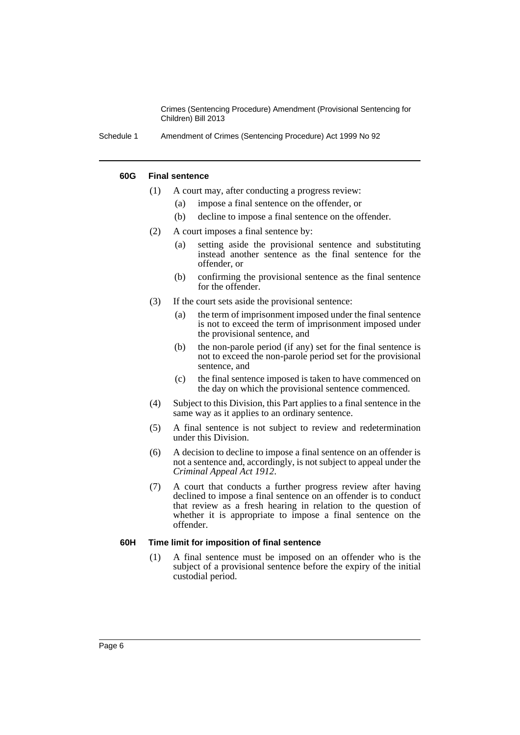Schedule 1 Amendment of Crimes (Sentencing Procedure) Act 1999 No 92

#### **60G Final sentence**

- (1) A court may, after conducting a progress review:
	- (a) impose a final sentence on the offender, or
	- (b) decline to impose a final sentence on the offender.
- (2) A court imposes a final sentence by:
	- (a) setting aside the provisional sentence and substituting instead another sentence as the final sentence for the offender, or
	- (b) confirming the provisional sentence as the final sentence for the offender.
- (3) If the court sets aside the provisional sentence:
	- (a) the term of imprisonment imposed under the final sentence is not to exceed the term of imprisonment imposed under the provisional sentence, and
	- (b) the non-parole period (if any) set for the final sentence is not to exceed the non-parole period set for the provisional sentence, and
	- (c) the final sentence imposed is taken to have commenced on the day on which the provisional sentence commenced.
- (4) Subject to this Division, this Part applies to a final sentence in the same way as it applies to an ordinary sentence.
- (5) A final sentence is not subject to review and redetermination under this Division.
- (6) A decision to decline to impose a final sentence on an offender is not a sentence and, accordingly, is not subject to appeal under the *Criminal Appeal Act 1912*.
- (7) A court that conducts a further progress review after having declined to impose a final sentence on an offender is to conduct that review as a fresh hearing in relation to the question of whether it is appropriate to impose a final sentence on the offender.

#### **60H Time limit for imposition of final sentence**

(1) A final sentence must be imposed on an offender who is the subject of a provisional sentence before the expiry of the initial custodial period.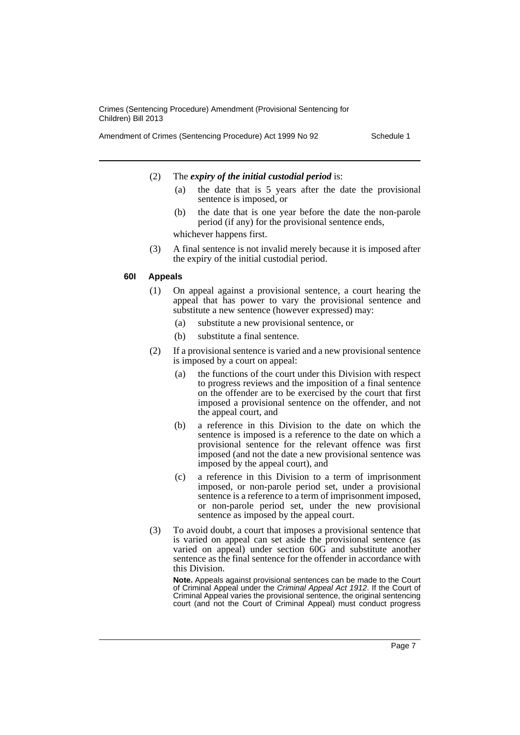Amendment of Crimes (Sentencing Procedure) Act 1999 No 92 Schedule 1

#### (2) The *expiry of the initial custodial period* is:

- (a) the date that is 5 years after the date the provisional sentence is imposed, or
- (b) the date that is one year before the date the non-parole period (if any) for the provisional sentence ends, whichever happens first.
- (3) A final sentence is not invalid merely because it is imposed after the expiry of the initial custodial period.

#### **60I Appeals**

- (1) On appeal against a provisional sentence, a court hearing the appeal that has power to vary the provisional sentence and substitute a new sentence (however expressed) may:
	- (a) substitute a new provisional sentence, or
	- (b) substitute a final sentence.
- (2) If a provisional sentence is varied and a new provisional sentence is imposed by a court on appeal:
	- (a) the functions of the court under this Division with respect to progress reviews and the imposition of a final sentence on the offender are to be exercised by the court that first imposed a provisional sentence on the offender, and not the appeal court, and
	- (b) a reference in this Division to the date on which the sentence is imposed is a reference to the date on which a provisional sentence for the relevant offence was first imposed (and not the date a new provisional sentence was imposed by the appeal court), and
	- (c) a reference in this Division to a term of imprisonment imposed, or non-parole period set, under a provisional sentence is a reference to a term of imprisonment imposed, or non-parole period set, under the new provisional sentence as imposed by the appeal court.
- (3) To avoid doubt, a court that imposes a provisional sentence that is varied on appeal can set aside the provisional sentence (as varied on appeal) under section 60G and substitute another sentence as the final sentence for the offender in accordance with this Division.

**Note.** Appeals against provisional sentences can be made to the Court of Criminal Appeal under the *Criminal Appeal Act 1912*. If the Court of Criminal Appeal varies the provisional sentence, the original sentencing court (and not the Court of Criminal Appeal) must conduct progress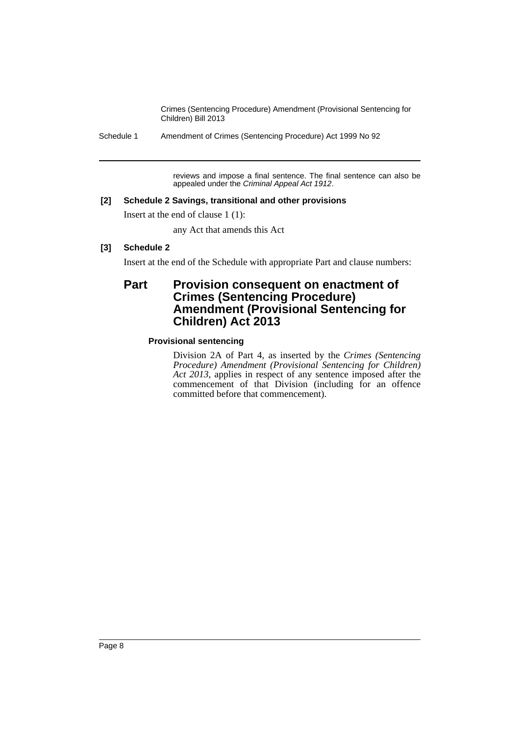Schedule 1 Amendment of Crimes (Sentencing Procedure) Act 1999 No 92

reviews and impose a final sentence. The final sentence can also be appealed under the *Criminal Appeal Act 1912*.

## **[2] Schedule 2 Savings, transitional and other provisions**

Insert at the end of clause 1 (1):

any Act that amends this Act

## **[3] Schedule 2**

Insert at the end of the Schedule with appropriate Part and clause numbers:

## Part Provision consequent on enactment of **Crimes (Sentencing Procedure) Amendment (Provisional Sentencing for Children) Act 2013**

## **Provisional sentencing**

Division 2A of Part 4, as inserted by the *Crimes (Sentencing Procedure) Amendment (Provisional Sentencing for Children) Act 2013*, applies in respect of any sentence imposed after the commencement of that Division (including for an offence committed before that commencement).